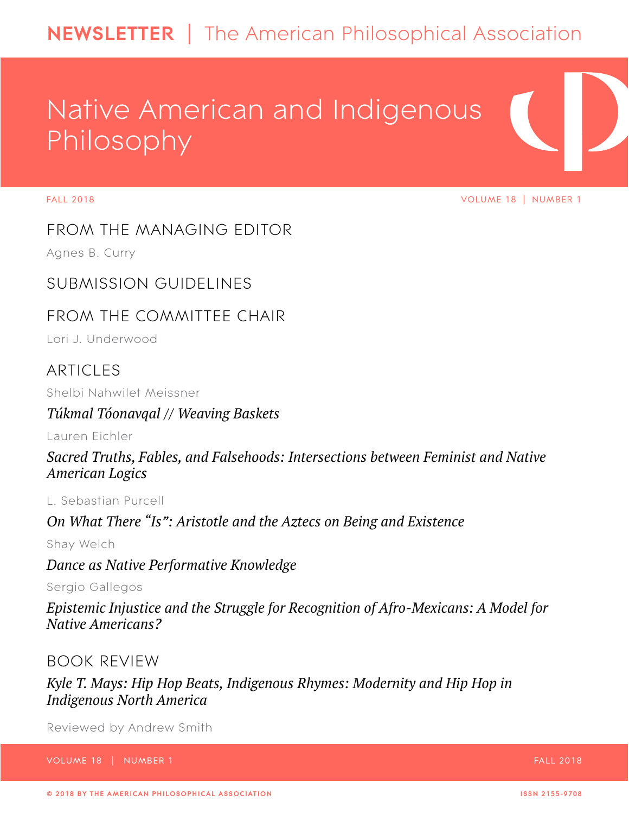## **NEWSLETTER** | The American Philosophical Association

# Native American and Indigenous Philosophy

FALL 2018 VOLUME 18 | NUMBER 1

[FROM THE MANAGING EDITOR](#page--1-0)

Agnes B. Curry

[SUBMISSION GUIDELINES](#page--1-1)

## [FROM THE COMMITTEE CHAIR](#page--1-2)

Lori J. Underwood

## **[ARTICLES](#page--1-1)**

Shelbi Nahwilet Meissner

## *Túkmal Tóonavqal // Weaving Baskets*

Lauren Eichler

*[Sacred Truths, Fables, and Falsehoods: Intersections between Feminist and Native](#page--1-3)  [American Logics](#page--1-3)* 

L. Sebastian Purcell

*On What There "Is": Aristotle and the Aztecs on Being and Existence* 

Shay Welch

*[Dance as Native Performative Knowledge](#page-13-0)* 

Sergio Gallegos

*[Epistemic Injustice and the Struggle for Recognition of Afro-Mexicans: A Model for](#page--1-4)  [Native Americans?](#page--1-4)* 

## [BOOK REVIEW](#page--1-5)

*[Kyle T. Mays: Hip Hop Beats, Indigenous Rhymes: Modernity and Hip Hop in](#page--1-6)  [Indigenous North America](#page--1-6)* 

Reviewed by Andrew Smith

VOLUME 18 | NUMBER 1 FALL 2018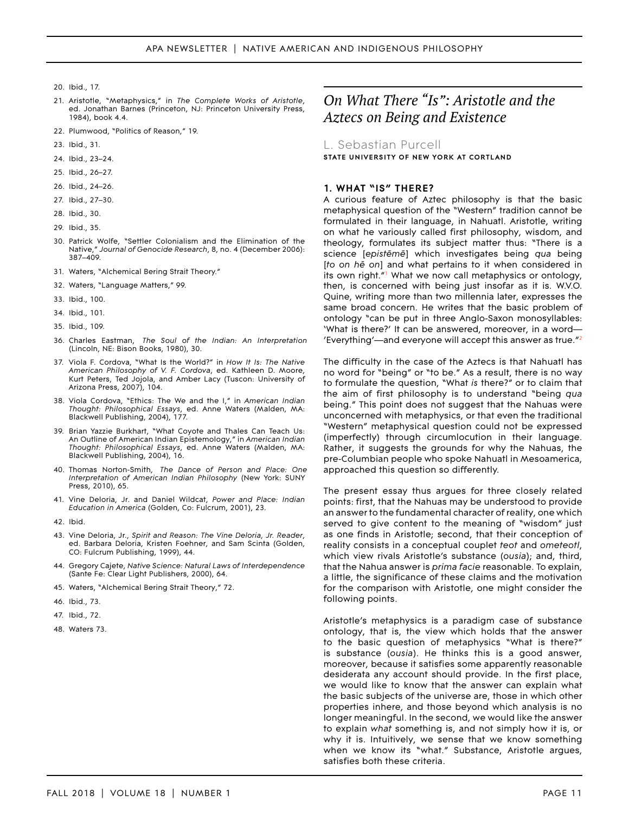- 20. Ibid., 17.
- 21. Aristotle, "Metaphysics," in *The Complete Works of Aristotle*, ed. Jonathan Barnes (Princeton, NJ: Princeton University Press, 1984), book 4.4.
- 22. Plumwood, "Politics of Reason," 19.
- 23. Ibid., 31.
- 24. Ibid., 23–24.
- 25. Ibid., 26–27.
- 26. Ibid., 24–26.
- 27. Ibid., 27–30.
- 28. Ibid., 30.
- 29. Ibid., 35.
- 30. Patrick Wolfe, "Settler Colonialism and the Elimination of the Native," *Journal of Genocide Research*, 8, no. 4 (December 2006): 387–409.
- 31. Waters, "Alchemical Bering Strait Theory."
- 32. Waters, "Language Matters," 99.
- 33. Ibid., 100.
- 34. Ibid., 101.
- 35. Ibid., 109.
- 36. Charles Eastman, *The Soul of the Indian: An Interpretation*  (Lincoln, NE: Bison Books, 1980), 30.
- 37. Viola F. Cordova, "What Is the World?" in *How It Is: The Native American Philosophy of V. F. Cordova*, ed. Kathleen D. Moore, Kurt Peters, Ted Jojola, and Amber Lacy (Tuscon: University of Arizona Press, 2007), 104.
- 38. Viola Cordova, "Ethics: The We and the I," in *American Indian Thought: Philosophical Essays*, ed. Anne Waters (Malden, MA: Blackwell Publishing, 2004), 177.
- 39. Brian Yazzie Burkhart, "What Coyote and Thales Can Teach Us: An Outline of American Indian Epistemology," in *American Indian Thought: Philosophical Essays*, ed. Anne Waters (Malden, MA: Blackwell Publishing, 2004), 16.
- 40. Thomas Norton-Smith, *The Dance of Person and Place: One Interpretation of American Indian Philosophy* (New York: SUNY Press, 2010), 65.
- 41. Vine Deloria, Jr. and Daniel Wildcat, *Power and Place: Indian Education in America* (Golden, Co: Fulcrum, 2001), 23.
- 42. Ibid.
- 43. Vine Deloria, Jr., *Spirit and Reason: The Vine Deloria, Jr. Reader*, ed. Barbara Deloria, Kristen Foehner, and Sam Scinta (Golden, CO: Fulcrum Publishing, 1999), 44.
- 44. Gregory Cajete, *Native Science: Natural Laws of Interdependence*  (Sante Fe: Clear Light Publishers, 2000), 64.
- 45. Waters, "Alchemical Bering Strait Theory," 72.
- 46. Ibid., 73.
- 47. Ibid., 72.
- 48. Waters 73.

## *On What There "Is": Aristotle and the Aztecs on Being and Existence*

L. Sebastian Purcell **STATE UNIVERSITY OF NEW YORK AT CORTLAND** 

#### **1. WHAT "IS" THERE?**

A curious feature of Aztec philosophy is that the basic metaphysical question of the "Western" tradition cannot be formulated in their language, in Nahuatl. Aristotle, writing on what he variously called first philosophy, wisdom, and theology, formulates its subject matter thus: "There is a science [*epistēmē*] which investigates being *qua* being [*to on hē on*] and what pertains to it when considered in its own right."[1](#page-11-0) What we now call metaphysics or ontology, then, is concerned with being just insofar as it is. W.V.O. Quine, writing more than two millennia later, expresses the same broad concern. He writes that the basic problem of ontology "can be put in three Anglo-Saxon monosyllables: 'What is there?' It can be answered, moreover, in a word— 'Everything'—and everyone will accept this answer as true.["2](#page-11-1)

The difficulty in the case of the Aztecs is that Nahuatl has no word for "being" or "to be." As a result, there is no way to formulate the question, "What *is* there?" or to claim that the aim of first philosophy is to understand "being *qua*  being." This point does not suggest that the Nahuas were unconcerned with metaphysics, or that even the traditional "Western" metaphysical question could not be expressed (imperfectly) through circumlocution in their language. Rather, it suggests the grounds for why the Nahuas, the pre-Columbian people who spoke Nahuatl in Mesoamerica, approached this question so differently.

The present essay thus argues for three closely related points: first, that the Nahuas may be understood to provide an answer to the fundamental character of reality, one which served to give content to the meaning of "wisdom" just as one finds in Aristotle; second, that their conception of reality consists in a conceptual couplet *teot* and *ometeotl*, which view rivals Aristotle's substance (*ousia*); and, third, that the Nahua answer is *prima facie* reasonable. To explain, a little, the significance of these claims and the motivation for the comparison with Aristotle, one might consider the following points.

Aristotle's metaphysics is a paradigm case of substance ontology, that is, the view which holds that the answer to the basic question of metaphysics "What is there?" is substance (*ousia*). He thinks this is a good answer, moreover, because it satisfies some apparently reasonable desiderata any account should provide. In the first place, we would like to know that the answer can explain what the basic subjects of the universe are, those in which other properties inhere, and those beyond which analysis is no longer meaningful. In the second, we would like the answer to explain *what* something is, and not simply how it is, or why it is. Intuitively, we sense that we know something when we know its "what." Substance, Aristotle argues, satisfies both these criteria.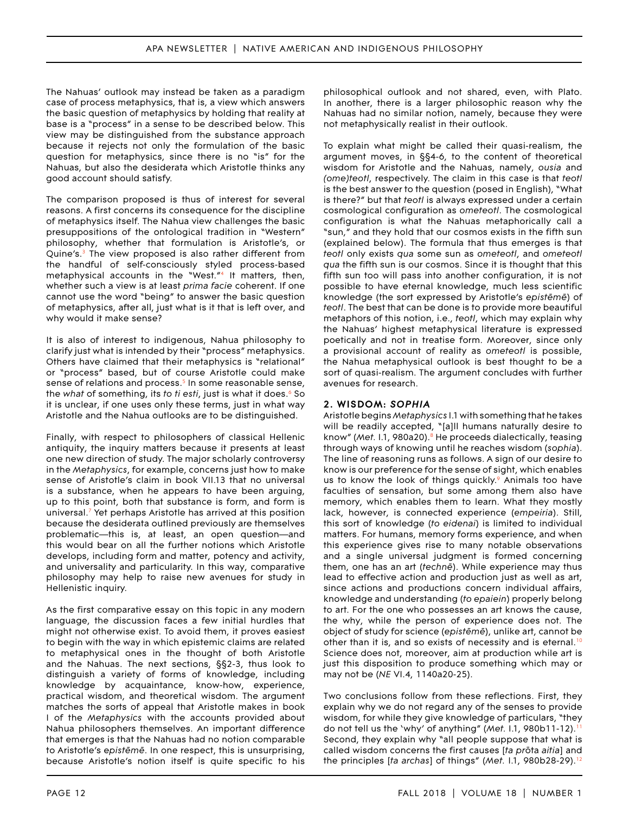#### APA NEWSLETTER | NATIVE AMERICAN AND INDIGENOUS PHILOSOPHY

The Nahuas' outlook may instead be taken as a paradigm case of process metaphysics, that is, a view which answers the basic question of metaphysics by holding that reality at base is a "process" in a sense to be described below. This view may be distinguished from the substance approach because it rejects not only the formulation of the basic question for metaphysics, since there is no "is" for the Nahuas, but also the desiderata which Aristotle thinks any good account should satisfy.

The comparison proposed is thus of interest for several reasons. A first concerns its consequence for the discipline of metaphysics itself. The Nahua view challenges the basic presuppositions of the ontological tradition in "Western" philosophy, whether that formulation is Aristotle's, or Quine's.<sup>3</sup> The view proposed is also rather different from the handful of self-consciously styled process-based metaphysical accounts in the "West."[4](#page-11-6) It matters, then, whether such a view is at least *prima facie* coherent. If one cannot use the word "being" to answer the basic question of metaphysics, after all, just what is it that is left over, and why would it make sense?

It is also of interest to indigenous, Nahua philosophy to clarify just what is intended by their "process" metaphysics. Others have claimed that their metaphysics is "relational" or "process" based, but of course Aristotle could make sense of relations and process.<sup>5</sup> In some reasonable sense, the *what* of something, its *to ti esti*, just is what it does.[6](#page-11-8) So it is unclear, if one uses only these terms, just in what way Aristotle and the Nahua outlooks are to be distinguished.

Finally, with respect to philosophers of classical Hellenic antiquity, the inquiry matters because it presents at least one new direction of study. The major scholarly controversy in the *Metaphysics*, for example, concerns just how to make sense of Aristotle's claim in book VII.13 that no universal is a substance, when he appears to have been arguing, up to this point, both that substance is form, and form is universal[.7](#page-11-9) Yet perhaps Aristotle has arrived at this position because the desiderata outlined previously are themselves problematic—this is, at least, an open question—and this would bear on all the further notions which Aristotle develops, including form and matter, potency and activity, and universality and particularity. In this way, comparative philosophy may help to raise new avenues for study in Hellenistic inquiry.

As the first comparative essay on this topic in any modern language, the discussion faces a few initial hurdles that might not otherwise exist. To avoid them, it proves easiest to begin with the way in which epistemic claims are related to metaphysical ones in the thought of both Aristotle and the Nahuas. The next sections, §§2-3, thus look to distinguish a variety of forms of knowledge, including knowledge by acquaintance, know-how, experience, practical wisdom, and theoretical wisdom. The argument matches the sorts of appeal that Aristotle makes in book I of the *Metaphysics* with the accounts provided about Nahua philosophers themselves. An important difference that emerges is that the Nahuas had no notion comparable to Aristotle's e*pistēmē*. In one respect, this is unsurprising, because Aristotle's notion itself is quite specific to his

philosophical outlook and not shared, even, with Plato. In another, there is a larger philosophic reason why the Nahuas had no similar notion, namely, because they were not metaphysically realist in their outlook.

To explain what might be called their quasi-realism, the argument moves, in §§4-6, to the content of theoretical wisdom for Aristotle and the Nahuas, namely, *ousia* and *(ome)teotl*, respectively. The claim in this case is that *teotl*  is the best answer to the question (posed in English), "What is there?" but that *teotl* is always expressed under a certain cosmological configuration as *ometeotl*. The cosmological configuration is what the Nahuas metaphorically call a "sun," and they hold that our cosmos exists in the fifth sun (explained below). The formula that thus emerges is that *teotl* only exists *qua* some sun as *ometeotl*, and *ometeotl qua* the fifth sun is our cosmos. Since it is thought that this fifth sun too will pass into another configuration, it is not possible to have eternal knowledge, much less scientific knowledge (the sort expressed by Aristotle's *epistēmē*) of *teotl*. The best that can be done is to provide more beautiful metaphors of this notion, i.e., *teotl*, which may explain why the Nahuas' highest metaphysical literature is expressed poetically and not in treatise form. Moreover, since only a provisional account of reality as *ometeotl* is possible, the Nahua metaphysical outlook is best thought to be a sort of quasi-realism. The argument concludes with further avenues for research.

#### **2. WISDOM:** *SOPHIA*

Aristotle begins *Metaphysics* I.1 with something that he takes will be readily accepted, "[a]ll humans naturally desire to know" (Met. I.1, 980a20).<sup>8</sup> He proceeds dialectically, teasing through ways of knowing until he reaches wisdom (*sophia*). The line of reasoning runs as follows. A sign of our desire to know is our preference for the sense of sight, which enables us to know the look of things quickly. $9$  Animals too have faculties of sensation, but some among them also have memory, which enables them to learn. What they mostly lack, however, is connected experience (*empeiria*). Still, this sort of knowledge (*to eidenai*) is limited to individual matters. For humans, memory forms experience, and when this experience gives rise to many notable observations and a single universal judgment is formed concerning them, one has an art (*technē*). While experience may thus lead to effective action and production just as well as art, since actions and productions concern individual affairs, knowledge and understanding (*to epaiein*) properly belong to art. For the one who possesses an art knows the cause, the why, while the person of experience does not. The object of study for science (*epistēmē*), unlike art, cannot be other than it is, and so exists of necessity and is eternal.<sup>[10](#page-11-4)</sup> Science does not, moreover, aim at production while art is just this disposition to produce something which may or may not be (*NE* VI.4, 1140a20-25).

Two conclusions follow from these reflections. First, they explain why we do not regard any of the senses to provide wisdom, for while they give knowledge of particulars, "they do not tell us the 'why' of anything" (Met. I.1, 980b[11](#page-12-0)-12).<sup>1</sup> Second, they explain why "all people suppose that what is called wisdom concerns the first causes [*ta pr*ōta *aitia*] and the principles [*ta archas*] of things" (*Met.* I.1, 980b28-29).[12](#page-12-1)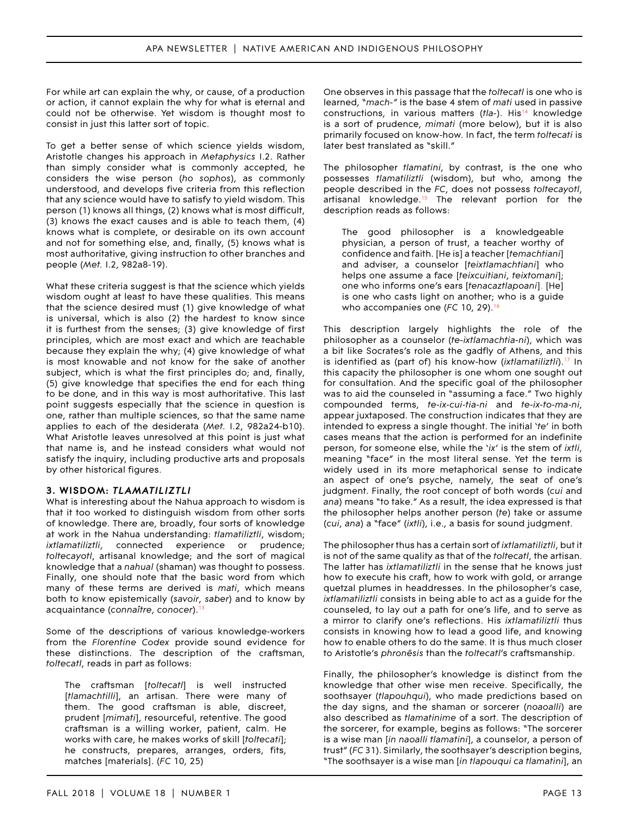#### APA NEWSLETTER | NATIVE AMERICAN AND INDIGENOUS PHILOSOPHY

For while art can explain the why, or cause, of a production or action, it cannot explain the why for what is eternal and could not be otherwise. Yet wisdom is thought most to consist in just this latter sort of topic.

To get a better sense of which science yields wisdom, Aristotle changes his approach in *Metaphysics* I.2. Rather than simply consider what is commonly accepted, he considers the wise person (*ho sophos*), as commonly understood, and develops five criteria from this reflection that any science would have to satisfy to yield wisdom. This person (1) knows all things, (2) knows what is most difficult, (3) knows the exact causes and is able to teach them, (4) knows what is complete, or desirable on its own account and not for something else, and, finally, (5) knows what is most authoritative, giving instruction to other branches and people (*Met.* I.2, 982a8-19).

What these criteria suggest is that the science which yields wisdom ought at least to have these qualities. This means that the science desired must (1) give knowledge of what is universal, which is also (2) the hardest to know since it is furthest from the senses; (3) give knowledge of first principles, which are most exact and which are teachable because they explain the why; (4) give knowledge of what is most knowable and not know for the sake of another subject, which is what the first principles do; and, finally, (5) give knowledge that specifies the end for each thing to be done, and in this way is most authoritative. This last point suggests especially that the science in question is one, rather than multiple sciences, so that the same name applies to each of the desiderata (*Met.* I.2, 982a24-b10). What Aristotle leaves unresolved at this point is just what that name is, and he instead considers what would not satisfy the inquiry, including productive arts and proposals by other historical figures.

#### **3. WISDOM:** *TLAMATILIZTLI*

What is interesting about the Nahua approach to wisdom is that it too worked to distinguish wisdom from other sorts of knowledge. There are, broadly, four sorts of knowledge at work in the Nahua understanding: *tlamatiliztli*, wisdom; *ixtlamatiliztli*, connected experience or prudence; *toltecayotl*, artisanal knowledge; and the sort of magical knowledge that a *nahual* (shaman) was thought to possess. Finally, one should note that the basic word from which many of these terms are derived is *mati*, which means both to know epistemically (*savoir*, *saber*) and to know by acquaintance (*connaître*, *conocer*)[.13](#page-12-6)

Some of the descriptions of various knowledge-workers from the *Florentine Codex* provide sound evidence for these distinctions. The description of the craftsman, *toltecatl*, reads in part as follows:

The craftsman [*toltecatl*] is well instructed [*tlamachtilli*], an artisan. There were many of them. The good craftsman is able, discreet, prudent [*mimati*], resourceful, retentive. The good craftsman is a willing worker, patient, calm. He works with care, he makes works of skill [*toltecati*]; he constructs, prepares, arranges, orders, fits, matches [materials]. (*FC* 10, 25)

One observes in this passage that the *toltecatl* is one who is learned, "*mach-"* is the base 4 stem of *mati* used in passive constructions, in various matters (*tla-*). His[14](#page-12-2) knowledge is a sort of prudence, *mimati* (more below), but it is also primarily focused on know-how. In fact, the term *toltecati* is later best translated as "skill."

The philosopher *tlamatini*, by contrast, is the one who possesses *tlamatiliztli* (wisdom), but who, among the people described in the *FC*, does not possess *toltecayotl*, artisanal knowledge.<sup>15</sup> The relevant portion for the description reads as follows:

The good philosopher is a knowledgeable physician, a person of trust, a teacher worthy of confidence and faith. [He is] a teacher [*temachtiani*] and adviser, a counselor [*teixtlamachtiani*] who helps one assume a face [*teixcuitiani*, *teixtomani*]; one who informs one's ears [*tenacaztlapoani*]. [He] is one who casts light on another; who is a guide who accompanies one (*FC* 10, 29)[.16](#page-12-4) 

This description largely highlights the role of the philosopher as a counselor (*te-ixtlamachtia-ni*), which was a bit like Socrates's role as the gadfly of Athens, and this is identified as (part of) his know-how (*ixtlamatiliztli*).<sup>17</sup> In this capacity the philosopher is one whom one sought out for consultation. And the specific goal of the philosopher was to aid the counseled in "assuming a face." Two highly compounded terms, *te-ix-cui-tia-ni* and *te-ix-to-ma-ni*, appear juxtaposed. The construction indicates that they are intended to express a single thought. The initial '*te*' in both cases means that the action is performed for an indefinite person, for someone else, while the '*ix*' is the stem of *ixtli*, meaning "face" in the most literal sense. Yet the term is widely used in its more metaphorical sense to indicate an aspect of one's psyche, namely, the seat of one's judgment. Finally, the root concept of both words (*cui* and *ana*) means "to take." As a result, the idea expressed is that the philosopher helps another person (*te*) take or assume (*cui*, *ana*) a "face" (*ixtli*), i.e., a basis for sound judgment.

The philosopher thus has a certain sort of *ixtlamatiliztli*, but it is not of the same quality as that of the *toltecatl*, the artisan. The latter has *ixtlamatiliztli* in the sense that he knows just how to execute his craft, how to work with gold, or arrange quetzal plumes in headdresses. In the philosopher's case, *ixtlamatiliztli* consists in being able to act as a guide for the counseled, to lay out a path for one's life, and to serve as a mirror to clarify one's reflections. His *ixtlamatiliztli* thus consists in knowing how to lead a good life, and knowing how to enable others to do the same. It is thus much closer to Aristotle's *phronēsis* than the *toltecatl*'s craftsmanship.

Finally, the philosopher's knowledge is distinct from the knowledge that other wise men receive. Specifically, the soothsayer (*tlapouhqui*), who made predictions based on the day signs, and the shaman or sorcerer (*noaoalli*) are also described as *tlamatinime* of a sort. The description of the sorcerer, for example, begins as follows: "The sorcerer is a wise man [*in naoalli tlamatini*], a counselor, a person of trust" (*FC* 31). Similarly, the soothsayer's description begins, "The soothsayer is a wise man [*in tlapouqui ca tlamatini*], an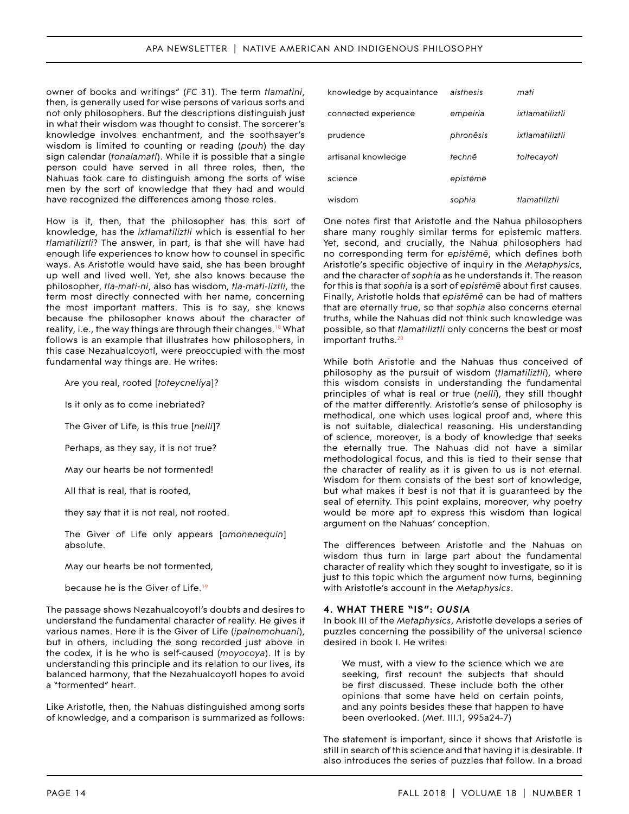#### APA NEWSLETTER | NATIVE AMERICAN AND INDIGENOUS PHILOSOPHY

owner of books and writings" (*FC* 31). The term *tlamatini*, then, is generally used for wise persons of various sorts and not only philosophers. But the descriptions distinguish just in what their wisdom was thought to consist. The sorcerer's knowledge involves enchantment, and the soothsayer's wisdom is limited to counting or reading (*pouh*) the day sign calendar (*tonalamatl*). While it is possible that a single person could have served in all three roles, then, the Nahuas took care to distinguish among the sorts of wise men by the sort of knowledge that they had and would have recognized the differences among those roles.

How is it, then, that the philosopher has this sort of knowledge, has the *ixtlamatiliztli* which is essential to her *tlamatiliztli*? The answer, in part, is that she will have had enough life experiences to know how to counsel in specific ways. As Aristotle would have said, she has been brought up well and lived well. Yet, she also knows because the philosopher, *tla-mati-ni*, also has wisdom, *tla-mati-liztli*, the term most directly connected with her name, concerning the most important matters. This is to say, she knows because the philosopher knows about the character of reality, i.e., the way things are through their changes.<sup>18</sup> What follows is an example that illustrates how philosophers, in this case Nezahualcoyotl, were preoccupied with the most fundamental way things are. He writes:

Are you real, rooted [*toteycneliya*]?

Is it only as to come inebriated?

The Giver of Life, is this true [*nelli*]?

Perhaps, as they say, it is not true?

May our hearts be not tormented!

All that is real, that is rooted,

they say that it is not real, not rooted.

The Giver of Life only appears [*omonenequin*] absolute.

May our hearts be not tormented,

because he is the Giver of Life[.19](#page-12-9)

The passage shows Nezahualcoyotl's doubts and desires to understand the fundamental character of reality. He gives it various names. Here it is the Giver of Life (*ipalnemohuani*), but in others, including the song recorded just above in the codex, it is he who is self-caused (*moyocoya*). It is by understanding this principle and its relation to our lives, its balanced harmony, that the Nezahualcoyotl hopes to avoid a "tormented" heart.

Like Aristotle, then, the Nahuas distinguished among sorts of knowledge, and a comparison is summarized as follows:

| knowledge by acquaintance | aisthesis | mati            |
|---------------------------|-----------|-----------------|
| connected experience      | empeiria  | ixtlamatiliztli |
| prudence                  | phronēsis | ixtlamatiliztli |
| artisanal knowledge       | technē    | toltecayotl     |
| science                   | epistēmē  |                 |
| wisdom                    | sophia    | tlamatiliztli   |

One notes first that Aristotle and the Nahua philosophers share many roughly similar terms for epistemic matters. Yet, second, and crucially, the Nahua philosophers had no corresponding term for *epistēmē*, which defines both Aristotle's specific objective of inquiry in the *Metaphysics*, and the character of *sophia* as he understands it. The reason for this is that *sophia* is a sort of *epistēmē* about first causes. Finally, Aristotle holds that *epistēmē* can be had of matters that are eternally true, so that *sophia* also concerns eternal truths, while the Nahuas did not think such knowledge was possible, so that *tlamatiliztli* only concerns the best or most important truths.<sup>20</sup>

While both Aristotle and the Nahuas thus conceived of philosophy as the pursuit of wisdom (*tlamatiliztli*), where this wisdom consists in understanding the fundamental principles of what is real or true (*nelli*), they still thought of the matter differently. Aristotle's sense of philosophy is methodical, one which uses logical proof and, where this is not suitable, dialectical reasoning. His understanding of science, moreover, is a body of knowledge that seeks the eternally true. The Nahuas did not have a similar methodological focus, and this is tied to their sense that the character of reality as it is given to us is not eternal. Wisdom for them consists of the best sort of knowledge, but what makes it best is not that it is guaranteed by the seal of eternity. This point explains, moreover, why poetry would be more apt to express this wisdom than logical argument on the Nahuas' conception.

The differences between Aristotle and the Nahuas on wisdom thus turn in large part about the fundamental character of reality which they sought to investigate, so it is just to this topic which the argument now turns, beginning with Aristotle's account in the *Metaphysics*.

#### **4. WHAT THERE "IS":** *OUSIA*

In book III of the *Metaphysics*, Aristotle develops a series of puzzles concerning the possibility of the universal science desired in book I. He writes:

We must, with a view to the science which we are seeking, first recount the subjects that should be first discussed. These include both the other opinions that some have held on certain points, and any points besides these that happen to have been overlooked. (*Met.* III.1, 995a24-7)

The statement is important, since it shows that Aristotle is still in search of this science and that having it is desirable. It also introduces the series of puzzles that follow. In a broad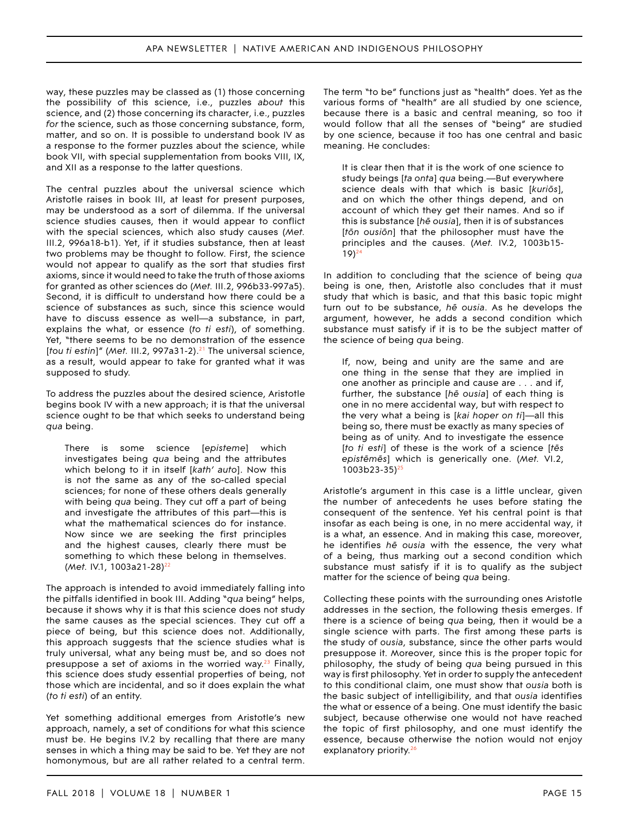way, these puzzles may be classed as (1) those concerning the possibility of this science, i.e., puzzles *about* this science, and (2) those concerning its character, i.e., puzzles *for* the science, such as those concerning substance, form, matter, and so on. It is possible to understand book IV as a response to the former puzzles about the science, while book VII, with special supplementation from books VIII, IX, and XII as a response to the latter questions.

The central puzzles about the universal science which Aristotle raises in book III, at least for present purposes, may be understood as a sort of dilemma. If the universal science studies causes, then it would appear to conflict with the special sciences, which also study causes (*Met.*  III.2, 996a18-b1). Yet, if it studies substance, then at least two problems may be thought to follow. First, the science would not appear to qualify as the sort that studies first axioms, since it would need to take the truth of those axioms for granted as other sciences do (*Met.* III.2, 996b33-997a5). Second, it is difficult to understand how there could be a science of substances as such, since this science would have to discuss essence as well—a substance, in part, explains the what, or essence (*to ti esti*), of something. Yet, "there seems to be no demonstration of the essence [*tou ti estin*]" (Met. III.2, 997a31-2).<sup>21</sup> The universal science, as a result, would appear to take for granted what it was supposed to study.

To address the puzzles about the desired science, Aristotle begins book IV with a new approach; it is that the universal science ought to be that which seeks to understand being *qua* being.

There is some science [*episteme*] which investigates being *qua* being and the attributes which belong to it in itself [*kath' auto*]. Now this is not the same as any of the so-called special sciences; for none of these others deals generally with being *qua* being. They cut off a part of being and investigate the attributes of this part—this is what the mathematical sciences do for instance. Now since we are seeking the first principles and the highest causes, clearly there must be something to which these belong in themselves. (Met. IV.1, 1003a21-28)<sup>22</sup>

The approach is intended to avoid immediately falling into the pitfalls identified in book III. Adding "*qua* being" helps, because it shows why it is that this science does not study the same causes as the special sciences. They cut off a piece of being, but this science does not. Additionally, this approach suggests that the science studies what is truly universal, what any being must be, and so does not presuppose a set of axioms in the worried way.<sup>[23](#page-12-15)</sup> Finally, this science does study essential properties of being, not those which are incidental, and so it does explain the what (*to ti esti*) of an entity.

Yet something additional emerges from Aristotle's new approach, namely, a set of conditions for what this science must be. He begins IV.2 by recalling that there are many senses in which a thing may be said to be. Yet they are not homonymous, but are all rather related to a central term.

The term "to be" functions just as "health" does. Yet as the various forms of "health" are all studied by one science, because there is a basic and central meaning, so too it would follow that all the senses of "being" are studied by one science, because it too has one central and basic meaning. He concludes:

It is clear then that it is the work of one science to study beings [*ta onta*] *qua* being.—But everywhere science deals with that which is basic [*kuriōs*], and on which the other things depend, and on account of which they get their names. And so if this is substance [*hē ousia*], then it is of substances [*tōn ousiōn*] that the philosopher must have the principles and the causes. (*Met.* IV.2, 1003b15  $19)$ <sup>24</sup>

In addition to concluding that the science of being *qua*  being is one, then, Aristotle also concludes that it must study that which is basic, and that this basic topic might turn out to be substance, *hē ousia*. As he develops the argument, however, he adds a second condition which substance must satisfy if it is to be the subject matter of the science of being *qua* being.

If, now, being and unity are the same and are one thing in the sense that they are implied in one another as principle and cause are . . . and if, further, the substance [*hē ousia*] of each thing is one in no mere accidental way, but with respect to the very what a being is [*kai hoper on ti*]—all this being so, there must be exactly as many species of being as of unity. And to investigate the essence [*to ti esti*] of these is the work of a science [*tēs epistēmēs*] which is generically one. (*Met.* VI.2, 1003b23-35)[25](#page-12-11) 

Aristotle's argument in this case is a little unclear, given the number of antecedents he uses before stating the consequent of the sentence. Yet his central point is that insofar as each being is one, in no mere accidental way, it is a what, an essence. And in making this case, moreover, he identifies *hē ousia* with the essence, the very what of a being, thus marking out a second condition which substance must satisfy if it is to qualify as the subject matter for the science of being *qua* being.

Collecting these points with the surrounding ones Aristotle addresses in the section, the following thesis emerges. If there is a science of being *qua* being, then it would be a single science with parts. The first among these parts is the study of *ousia*, substance, since the other parts would presuppose it. Moreover, since this is the proper topic for philosophy, the study of being *qua* being pursued in this way is first philosophy. Yet in order to supply the antecedent to this conditional claim, one must show that *ousia* both is the basic subject of intelligibility, and that *ousia* identifies the what or essence of a being. One must identify the basic subject, because otherwise one would not have reached the topic of first philosophy, and one must identify the essence, because otherwise the notion would not enjoy explanatory priority.<sup>26</sup>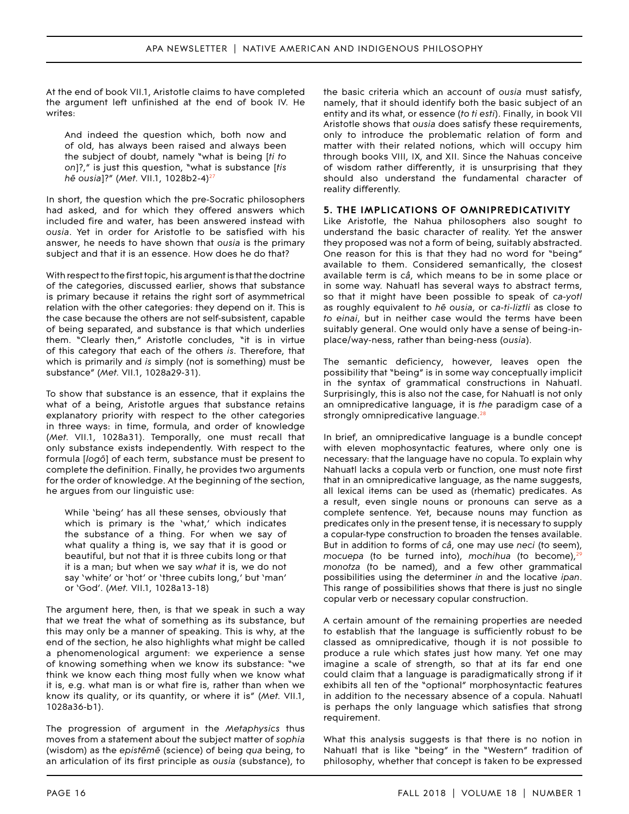At the end of book VII.1, Aristotle claims to have completed the argument left unfinished at the end of book IV. He writes:

And indeed the question which, both now and of old, has always been raised and always been the subject of doubt, namely "what is being [*ti to on*]?," is just this question, "what is substance [*tis hē ousia*]?" (*Met.* VII.1, 1028b2-4)[27](#page-12-18) 

In short, the question which the pre-Socratic philosophers had asked, and for which they offered answers which included fire and water, has been answered instead with *ousia*. Yet in order for Aristotle to be satisfied with his answer, he needs to have shown that *ousia* is the primary subject and that it is an essence. How does he do that?

With respect to the first topic, his argument is that the doctrine of the categories, discussed earlier, shows that substance is primary because it retains the right sort of asymmetrical relation with the other categories: they depend on it. This is the case because the others are not self-subsistent, capable of being separated, and substance is that which underlies them. "Clearly then," Aristotle concludes, "it is in virtue of this category that each of the others *is*. Therefore, that which is primarily and *is* simply (not is something) must be substance" (*Met.* VII.1, 1028a29-31).

To show that substance is an essence, that it explains the what of a being, Aristotle argues that substance retains explanatory priority with respect to the other categories in three ways: in time, formula, and order of knowledge (*Met.* VII.1, 1028a31). Temporally, one must recall that only substance exists independently. With respect to the formula [*logō*] of each term, substance must be present to complete the definition. Finally, he provides two arguments for the order of knowledge. At the beginning of the section, he argues from our linguistic use:

While 'being' has all these senses, obviously that which is primary is the 'what,' which indicates the substance of a thing. For when we say of what quality a thing is, we say that it is good or beautiful, but not that it is three cubits long or that it is a man; but when we say *what* it is, we do not say 'white' or 'hot' or 'three cubits long,' but 'man' or 'God'. (*Met.* VII.1, 1028a13-18)

The argument here, then, is that we speak in such a way that we treat the what of something as its substance, but this may only be a manner of speaking. This is why, at the end of the section, he also highlights what might be called a phenomenological argument: we experience a sense of knowing something when we know its substance: "we think we know each thing most fully when we know what it is, e.g. what man is or what fire is, rather than when we know its quality, or its quantity, or where it is" (*Met.* VII.1, 1028a36-b1).

The progression of argument in the *Metaphysics* thus moves from a statement about the subject matter of *sophia*  (wisdom) as the *epistēmē* (science) of being *qua* being, to an articulation of its first principle as *ousia* (substance), to

the basic criteria which an account of *ousia* must satisfy, namely, that it should identify both the basic subject of an entity and its what, or essence (*to ti esti*). Finally, in book VII Aristotle shows that *ousia* does satisfy these requirements, only to introduce the problematic relation of form and matter with their related notions, which will occupy him through books VIII, IX, and XII. Since the Nahuas conceive of wisdom rather differently, it is unsurprising that they should also understand the fundamental character of reality differently.

#### **5. THE IMPLICATIONS OF OMNIPREDICATIVITY**

Like Aristotle, the Nahua philosophers also sought to understand the basic character of reality. Yet the answer they proposed was not a form of being, suitably abstracted. One reason for this is that they had no word for "being" available to them. Considered semantically, the closest available term is *câ*, which means to be in some place or in some way. Nahuatl has several ways to abstract terms, so that it might have been possible to speak of *ca-yotl*  as roughly equivalent to *hē ousia*, or *ca-ti-liztli* as close to *to einai*, but in neither case would the terms have been suitably general. One would only have a sense of being-inplace/way-ness, rather than being-ness (*ousia*).

The semantic deficiency, however, leaves open the possibility that "being" is in some way conceptually implicit in the syntax of grammatical constructions in Nahuatl. Surprisingly, this is also not the case, for Nahuatl is not only an omnipredicative language, it is *the* paradigm case of a strongly omnipredicative language. $28$ 

In brief, an omnipredicative language is a bundle concept with eleven mophosyntactic features, where only one is necessary: that the language have no copula. To explain why Nahuatl lacks a copula verb or function, one must note first that in an omnipredicative language, as the name suggests, all lexical items can be used as (rhematic) predicates. As a result, even single nouns or pronouns can serve as a complete sentence. Yet, because nouns may function as predicates only in the present tense, it is necessary to supply a copular-type construction to broaden the tenses available. But in addition to forms of *câ*, one may use *neci* (to seem), *mocuepa* (to be turned into), *mochihua* (to become), <sup>29</sup> *monotza* (to be named), and a few other grammatical possibilities using the determiner *in* and the locative *ipan*. This range of possibilities shows that there is just no single copular verb or necessary copular construction.

A certain amount of the remaining properties are needed to establish that the language is sufficiently robust to be classed as omnipredicative, though it is not possible to produce a rule which states just how many. Yet one may imagine a scale of strength, so that at its far end one could claim that a language is paradigmatically strong if it exhibits all ten of the "optional" morphosyntactic features in addition to the necessary absence of a copula. Nahuatl is perhaps the only language which satisfies that strong requirement.

What this analysis suggests is that there is no notion in Nahuatl that is like "being" in the "Western" tradition of philosophy, whether that concept is taken to be expressed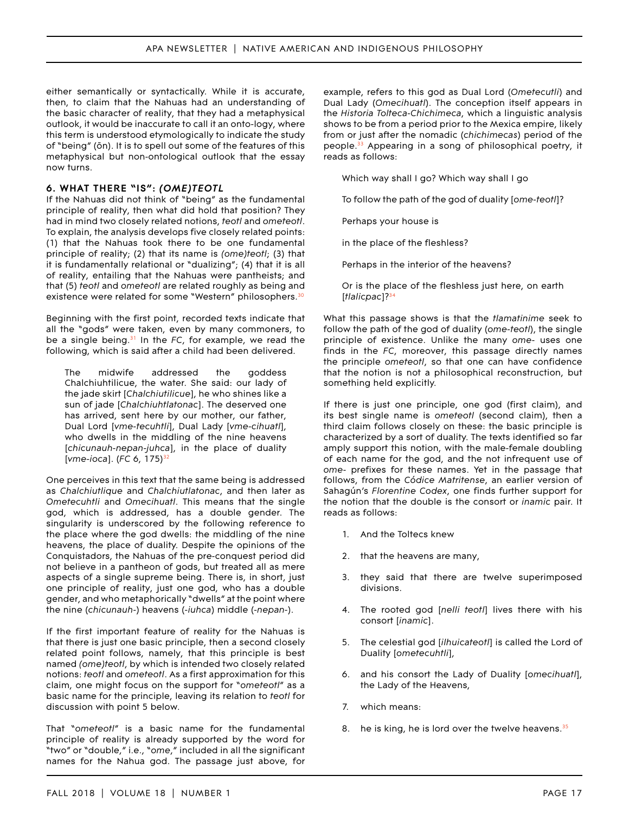either semantically or syntactically. While it is accurate, then, to claim that the Nahuas had an understanding of the basic character of reality, that they had a metaphysical outlook, it would be inaccurate to call it an onto-logy, where this term is understood etymologically to indicate the study of "being" (ōn). It is to spell out some of the features of this metaphysical but non-ontological outlook that the essay now turns.

#### **6. WHAT THERE "IS":** *(OME)TEOTL*

If the Nahuas did not think of "being" as the fundamental principle of reality, then what did hold that position? They had in mind two closely related notions, *teotl* and *ometeotl*. To explain, the analysis develops five closely related points: (1) that the Nahuas took there to be one fundamental principle of reality; (2) that its name is *(ome)teotl*; (3) that it is fundamentally relational or "dualizing"; (4) that it is all of reality, entailing that the Nahuas were pantheists; and that (5) *teotl* and *ometeotl* are related roughly as being and existence were related for some "Western" philosophers.<sup>[30](#page-12-22)</sup>

Beginning with the first point, recorded texts indicate that all the "gods" were taken, even by many commoners, to be a single being.[31](#page-12-23) In the *FC*, for example, we read the following, which is said after a child had been delivered.

The midwife addressed the goddess Chalchiuhtilicue, the water. She said: our lady of the jade skirt [*Chalchiutilicue*], he who shines like a sun of jade [*Chalchiuhtlatonac*]. The deserved one has arrived, sent here by our mother, our father, Dual Lord [*vme-tecuhtli*], Dual Lady [*vme-cihuatl*], who dwells in the middling of the nine heavens [*chicunauh-nepan-juhca*], in the place of duality [*vme-ioca*]. (FC 6, 175)<sup>[32](#page-12-24)</sup>

One perceives in this text that the same being is addressed as *Chalchiutlique* and *Chalchiutlatonac*, and then later as *Ometecuhtli* and *Omecihuatl*. This means that the single god, which is addressed, has a double gender. The singularity is underscored by the following reference to the place where the god dwells: the middling of the nine heavens, the place of duality. Despite the opinions of the Conquistadors, the Nahuas of the pre-conquest period did not believe in a pantheon of gods, but treated all as mere aspects of a single supreme being. There is, in short, just one principle of reality, just one god, who has a double gender, and who metaphorically "dwells" at the point where the nine (*chicunauh-*) heavens (*-iuhca*) middle (*-nepan-*).

If the first important feature of reality for the Nahuas is that there is just one basic principle, then a second closely related point follows, namely, that this principle is best named *(ome)teotl*, by which is intended two closely related notions: *teotl* and *ometeotl*. As a first approximation for this claim, one might focus on the support for "*ometeotl*" as a basic name for the principle, leaving its relation to *teotl* for discussion with point 5 below.

That "*ometeotl*" is a basic name for the fundamental principle of reality is already supported by the word for "two" or "double," i.e., "*ome*," included in all the significant names for the Nahua god. The passage just above, for

example, refers to this god as Dual Lord (*Ometecutli*) and Dual Lady (*Omecihuatl*). The conception itself appears in the *Historia Tolteca-Chichimeca*, which a linguistic analysis shows to be from a period prior to the Mexica empire, likely from or just after the nomadic (*chichimecas*) period of the people.[33](#page-12-19) Appearing in a song of philosophical poetry, it reads as follows:

Which way shall I go? Which way shall I go

To follow the path of the god of duality [*ome-teotl*]?

Perhaps your house is

in the place of the fleshless?

Perhaps in the interior of the heavens?

Or is the place of the fleshless just here, on earth [*tlalicpac*]?[34](#page-12-20) 

What this passage shows is that the *tlamatinime* seek to follow the path of the god of duality (*ome-teotl*), the single principle of existence. Unlike the many *ome*- uses one finds in the *FC*, moreover, this passage directly names the principle *ometeotl*, so that one can have confidence that the notion is not a philosophical reconstruction, but something held explicitly.

If there is just one principle, one god (first claim), and its best single name is *ometeotl* (second claim), then a third claim follows closely on these: the basic principle is characterized by a sort of duality. The texts identified so far amply support this notion, with the male-female doubling of each name for the god, and the not infrequent use of *ome*- prefixes for these names. Yet in the passage that follows, from the *Códice Matritense*, an earlier version of Sahagún's *Florentine Codex*, one finds further support for the notion that the double is the consort or *inamic* pair. It reads as follows:

- 1. And the Toltecs knew
- 2. that the heavens are many,
- 3. they said that there are twelve superimposed divisions.
- 4. The rooted god [*nelli teotl*] lives there with his consort [*inamic*].
- 5. The celestial god [*ilhuicateotl*] is called the Lord of Duality [*ometecuhtli*],
- 6. and his consort the Lady of Duality [*omecihuatl*], the Lady of the Heavens,
- 7. which means:
- 8. he is king, he is lord over the twelve heavens. $35$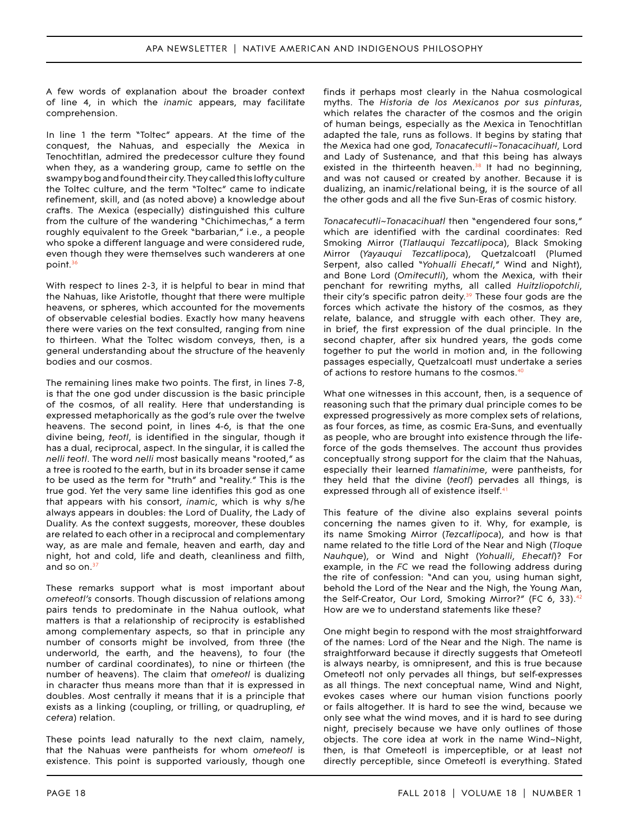A few words of explanation about the broader context of line 4, in which the *inamic* appears, may facilitate comprehension.

In line 1 the term "Toltec" appears. At the time of the conquest, the Nahuas, and especially the Mexica in Tenochtitlan, admired the predecessor culture they found when they, as a wandering group, came to settle on the swampy bog and found their city. They called this lofty culture the Toltec culture, and the term "Toltec" came to indicate refinement, skill, and (as noted above) a knowledge about crafts. The Mexica (especially) distinguished this culture from the culture of the wandering "Chichimechas," a term roughly equivalent to the Greek "barbarian," i.e., a people who spoke a different language and were considered rude, even though they were themselves such wanderers at one point.[36](#page-12-25) 

With respect to lines 2-3, it is helpful to bear in mind that the Nahuas, like Aristotle, thought that there were multiple heavens, or spheres, which accounted for the movements of observable celestial bodies. Exactly how many heavens there were varies on the text consulted, ranging from nine to thirteen. What the Toltec wisdom conveys, then, is a general understanding about the structure of the heavenly bodies and our cosmos.

The remaining lines make two points. The first, in lines 7-8, is that the one god under discussion is the basic principle of the cosmos, of all reality. Here that understanding is expressed metaphorically as the god's rule over the twelve heavens. The second point, in lines 4-6, is that the one divine being, *teotl*, is identified in the singular, though it has a dual, reciprocal, aspect. In the singular, it is called the *nelli teotl*. The word *nelli* most basically means "rooted," as a tree is rooted to the earth, but in its broader sense it came to be used as the term for "truth" and "reality." This is the true god. Yet the very same line identifies this god as one that appears with his consort, *inamic*, which is why s/he always appears in doubles: the Lord of Duality, the Lady of Duality. As the context suggests, moreover, these doubles are related to each other in a reciprocal and complementary way, as are male and female, heaven and earth, day and night, hot and cold, life and death, cleanliness and filth, and so on. $37$ 

These remarks support what is most important about *ometeotl's* consorts. Though discussion of relations among pairs tends to predominate in the Nahua outlook, what matters is that a relationship of reciprocity is established among complementary aspects, so that in principle any number of consorts might be involved, from three (the underworld, the earth, and the heavens), to four (the number of cardinal coordinates), to nine or thirteen (the number of heavens). The claim that *ometeotl* is dualizing in character thus means more than that it is expressed in doubles. Most centrally it means that it is a principle that exists as a linking (coupling, or trilling, or quadrupling, *et cetera*) relation.

These points lead naturally to the next claim, namely, that the Nahuas were pantheists for whom *ometeotl* is existence. This point is supported variously, though one finds it perhaps most clearly in the Nahua cosmological myths. The *Historia de los Mexicanos por sus pinturas*, which relates the character of the cosmos and the origin of human beings, especially as the Mexica in Tenochtitlan adapted the tale, runs as follows. It begins by stating that the Mexica had one god, *Tonacatecutli*~*Tonacacihuatl*, Lord and Lady of Sustenance, and that this being has always existed in the thirteenth heaven.<sup>38</sup> It had no beginning, and was not caused or created by another. Because it is dualizing, an inamic/relational being, it is the source of all the other gods and all the five Sun-Eras of cosmic history.

*Tonacatecutli~Tonacacihuatl* then "engendered four sons," which are identified with the cardinal coordinates: Red Smoking Mirror (*Tlatlauqui Tezcatlipoca*), Black Smoking Mirror (*Yayauqui Tezcatlipoca*), Quetzalcoatl (Plumed Serpent, also called "*Yohualli Ehecatl*," Wind and Night), and Bone Lord (*Omitecutli*), whom the Mexica, with their penchant for rewriting myths, all called *Huitzliopotchli*, their city's specific patron deity.<sup>39</sup> These four gods are the forces which activate the history of the cosmos, as they relate, balance, and struggle with each other. They are, in brief, the first expression of the dual principle. In the second chapter, after six hundred years, the gods come together to put the world in motion and, in the following passages especially, Quetzalcoatl must undertake a series of actions to restore humans to the cosmos.<sup>[40](#page-13-3)</sup>

What one witnesses in this account, then, is a sequence of reasoning such that the primary dual principle comes to be expressed progressively as more complex sets of relations, as four forces, as time, as cosmic Era-Suns, and eventually as people, who are brought into existence through the lifeforce of the gods themselves. The account thus provides conceptually strong support for the claim that the Nahuas, especially their learned *tlamatinime*, were pantheists, for they held that the divine (*teotl*) pervades all things, is expressed through all of existence itself.<sup>[41](#page-13-4)</sup>

This feature of the divine also explains several points concerning the names given to it. Why, for example, is its name Smoking Mirror (*Tezcatlipoca*), and how is that name related to the title Lord of the Near and Nigh (*Tloque Nauhque*), or Wind and Night (*Yohualli*, *Ehecatl*)? For example, in the *FC* we read the following address during the rite of confession: "And can you, using human sight, behold the Lord of the Near and the Nigh, the Young Man, the Self-Creator, Our Lord, Smoking Mirror?" (FC 6, 33).<sup>[42](#page-13-5)</sup> How are we to understand statements like these?

One might begin to respond with the most straightforward of the names: Lord of the Near and the Nigh. The name is straightforward because it directly suggests that Ometeotl is always nearby, is omnipresent, and this is true because Ometeotl not only pervades all things, but self-expresses as all things. The next conceptual name, Wind and Night, evokes cases where our human vision functions poorly or fails altogether. It is hard to see the wind, because we only see what the wind moves, and it is hard to see during night, precisely because we have only outlines of those objects. The core idea at work in the name Wind~Night, then, is that Ometeotl is imperceptible, or at least not directly perceptible, since Ometeotl is everything. Stated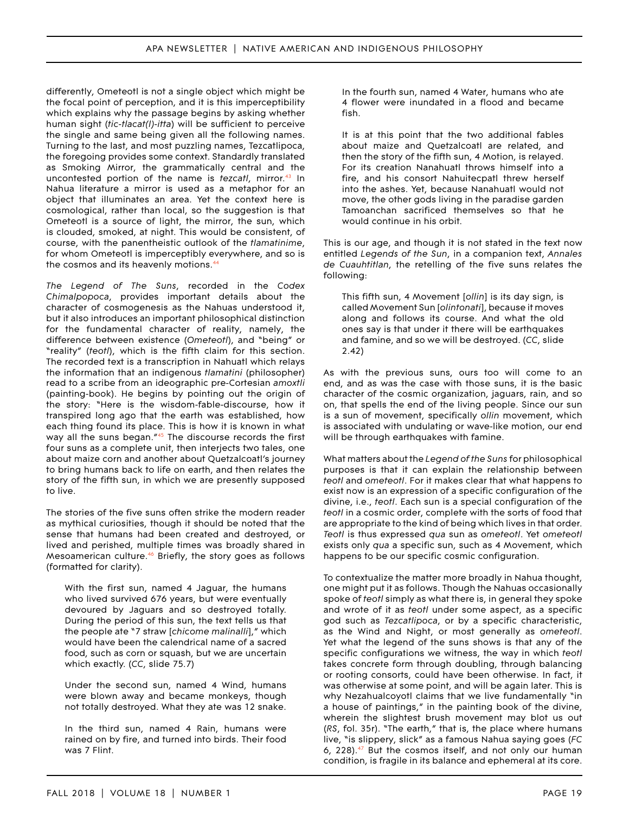differently, Ometeotl is not a single object which might be the focal point of perception, and it is this imperceptibility which explains why the passage begins by asking whether human sight (*tic-tlacat(l)-itta*) will be sufficient to perceive the single and same being given all the following names. Turning to the last, and most puzzling names, Tezcatlipoca, the foregoing provides some context. Standardly translated as Smoking Mirror, the grammatically central and the uncontested portion of the name is *tezcatl*, mirror.[43](#page-13-8) In Nahua literature a mirror is used as a metaphor for an object that illuminates an area. Yet the context here is cosmological, rather than local, so the suggestion is that Ometeotl is a source of light, the mirror, the sun, which is clouded, smoked, at night. This would be consistent, of course, with the panentheistic outlook of the *tlamatinime*, for whom Ometeotl is imperceptibly everywhere, and so is the cosmos and its heavenly motions.<sup>44</sup>

*The Legend of The Suns*, recorded in the *Codex Chimalpopoca*, provides important details about the character of cosmogenesis as the Nahuas understood it, but it also introduces an important philosophical distinction for the fundamental character of reality, namely, the difference between existence (*Ometeotl*), and "being" or "reality" (*teotl*), which is the fifth claim for this section. The recorded text is a transcription in Nahuatl which relays the information that an indigenous *tlamatini* (philosopher) read to a scribe from an ideographic pre-Cortesian *amoxtli*  (painting-book). He begins by pointing out the origin of the story: "Here is the wisdom-fable-discourse, how it transpired long ago that the earth was established, how each thing found its place. This is how it is known in what way all the suns began."<sup>45</sup> The discourse records the first four suns as a complete unit, then interjects two tales, one about maize corn and another about Quetzalcoatl's journey to bring humans back to life on earth, and then relates the story of the fifth sun, in which we are presently supposed to live.

The stories of the five suns often strike the modern reader as mythical curiosities, though it should be noted that the sense that humans had been created and destroyed, or lived and perished, multiple times was broadly shared in Mesoamerican culture.<sup>46</sup> Briefly, the story goes as follows (formatted for clarity).

With the first sun, named 4 Jaguar, the humans who lived survived 676 years, but were eventually devoured by Jaguars and so destroyed totally. During the period of this sun, the text tells us that the people ate "7 straw [*chicome malinalli*]," which would have been the calendrical name of a sacred food, such as corn or squash, but we are uncertain which exactly. (*CC*, slide 75.7)

Under the second sun, named 4 Wind, humans were blown away and became monkeys, though not totally destroyed. What they ate was 12 snake.

In the third sun, named 4 Rain, humans were rained on by fire, and turned into birds. Their food was 7 Flint.

In the fourth sun, named 4 Water, humans who ate 4 flower were inundated in a flood and became fish.

It is at this point that the two additional fables about maize and Quetzalcoatl are related, and then the story of the fifth sun, 4 Motion, is relayed. For its creation Nanahuatl throws himself into a fire, and his consort Nahuitecpatl threw herself into the ashes. Yet, because Nanahuatl would not move, the other gods living in the paradise garden Tamoanchan sacrificed themselves so that he would continue in his orbit.

This is our age, and though it is not stated in the text now entitled *Legends of the Sun*, in a companion text, *Annales de Cuauhtitlan*, the retelling of the five suns relates the following:

This fifth sun, 4 Movement [*ollin*] is its day sign, is called Movement Sun [*olintonati*], because it moves along and follows its course. And what the old ones say is that under it there will be earthquakes and famine, and so we will be destroyed. (*CC*, slide 2.42)

As with the previous suns, ours too will come to an end, and as was the case with those suns, it is the basic character of the cosmic organization, jaguars, rain, and so on, that spells the end of the living people. Since our sun is a sun of movement, specifically *ollin* movement, which is associated with undulating or wave-like motion, our end will be through earthquakes with famine.

What matters about the *Legend of the Suns* for philosophical purposes is that it can explain the relationship between *teotl* and *ometeotl*. For it makes clear that what happens to exist now is an expression of a specific configuration of the divine, i.e., *teotl*. Each sun is a special configuration of the *teotl* in a cosmic order, complete with the sorts of food that are appropriate to the kind of being which lives in that order. *Teotl* is thus expressed *qua* sun as *ometeotl*. Yet *ometeotl*  exists only *qua* a specific sun, such as 4 Movement, which happens to be our specific cosmic configuration.

To contextualize the matter more broadly in Nahua thought, one might put it as follows. Though the Nahuas occasionally spoke of *teotl* simply as what there is, in general they spoke and wrote of it as *teotl* under some aspect, as a specific god such as *Tezcatlipoca*, or by a specific characteristic, as the Wind and Night, or most generally as *ometeotl*. Yet what the legend of the suns shows is that any of the specific configurations we witness, the way in which *teotl*  takes concrete form through doubling, through balancing or rooting consorts, could have been otherwise. In fact, it was otherwise at some point, and will be again later. This is why Nezahualcoyotl claims that we live fundamentally "in a house of paintings," in the painting book of the divine, wherein the slightest brush movement may blot us out (*RS*, fol. 35r). "The earth," that is, the place where humans live, "is slippery, slick" as a famous Nahua saying goes (*FC*  6, 228). $47$  But the cosmos itself, and not only our human condition, is fragile in its balance and ephemeral at its core.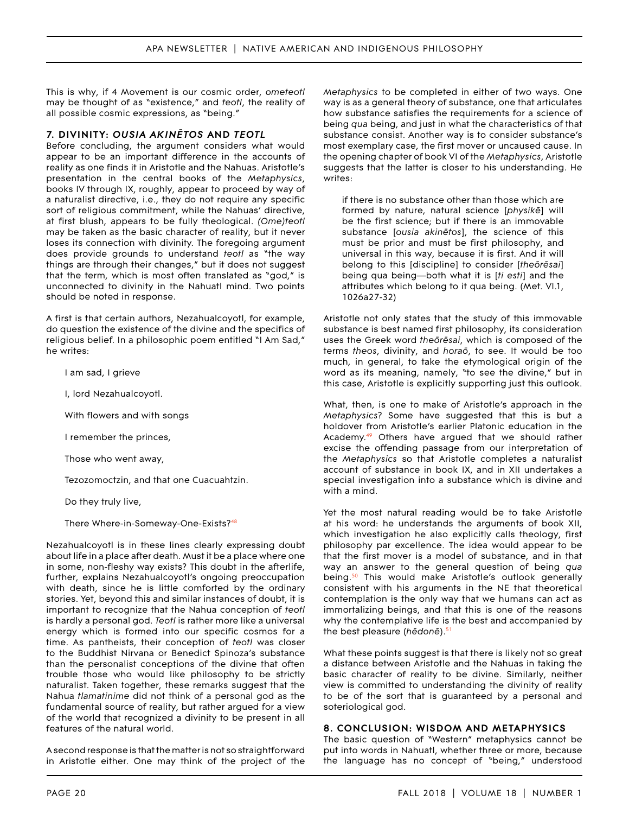This is why, if 4 Movement is our cosmic order, *ometeotl*  may be thought of as "existence," and *teotl*, the reality of all possible cosmic expressions, as "being."

#### **7. DIVINITY:** *OUSIA AKINĒTOS* **AND** *TEOTL*

Before concluding, the argument considers what would appear to be an important difference in the accounts of reality as one finds it in Aristotle and the Nahuas. Aristotle's presentation in the central books of the *Metaphysics*, books IV through IX, roughly, appear to proceed by way of a naturalist directive, i.e., they do not require any specific sort of religious commitment, while the Nahuas' directive, at first blush, appears to be fully theological. *(Ome)teotl*  may be taken as the basic character of reality, but it never loses its connection with divinity. The foregoing argument does provide grounds to understand *teotl* as "the way things are through their changes," but it does not suggest that the term, which is most often translated as "god," is unconnected to divinity in the Nahuatl mind. Two points should be noted in response.

A first is that certain authors, Nezahualcoyotl, for example, do question the existence of the divine and the specifics of religious belief. In a philosophic poem entitled "I Am Sad," he writes:

I am sad, I grieve

I, lord Nezahualcoyotl.

With flowers and with songs

I remember the princes,

Those who went away,

Tezozomoctzin, and that one Cuacuahtzin.

Do they truly live,

There Where-in-Someway-One-Exists?[48](#page-13-15) 

Nezahualcoyotl is in these lines clearly expressing doubt about life in a place after death. Must it be a place where one in some, non-fleshy way exists? This doubt in the afterlife, further, explains Nezahualcoyotl's ongoing preoccupation with death, since he is little comforted by the ordinary stories. Yet, beyond this and similar instances of doubt, it is important to recognize that the Nahua conception of *teotl*  is hardly a personal god. *Teotl* is rather more like a universal energy which is formed into our specific cosmos for a time. As pantheists, their conception of *teotl* was closer to the Buddhist Nirvana or Benedict Spinoza's substance than the personalist conceptions of the divine that often trouble those who would like philosophy to be strictly naturalist. Taken together, these remarks suggest that the Nahua *tlamatinime* did not think of a personal god as the fundamental source of reality, but rather argued for a view of the world that recognized a divinity to be present in all features of the natural world.

A second response is that the matter is not so straightforward in Aristotle either. One may think of the project of the *Metaphysics* to be completed in either of two ways. One way is as a general theory of substance, one that articulates how substance satisfies the requirements for a science of being *qua* being, and just in what the characteristics of that substance consist. Another way is to consider substance's most exemplary case, the first mover or uncaused cause. In the opening chapter of book VI of the *Metaphysics*, Aristotle suggests that the latter is closer to his understanding. He writes:

if there is no substance other than those which are formed by nature, natural science [*physikē*] will be the first science; but if there is an immovable substance [*ousia akinētos*], the science of this must be prior and must be first philosophy, and universal in this way, because it is first. And it will belong to this [discipline] to consider [*theōrēsai*] being qua being—both what it is [*ti esti*] and the attributes which belong to it qua being. (Met. VI.1, 1026a27-32)

Aristotle not only states that the study of this immovable substance is best named first philosophy, its consideration uses the Greek word *theōrēsai*, which is composed of the terms *theos*, divinity, and *horaō*, to see. It would be too much, in general, to take the etymological origin of the word as its meaning, namely, "to see the divine," but in this case, Aristotle is explicitly supporting just this outlook.

What, then, is one to make of Aristotle's approach in the *Metaphysics*? Some have suggested that this is but a holdover from Aristotle's earlier Platonic education in the Academy.<sup>49</sup> Others have argued that we should rather excise the offending passage from our interpretation of the *Metaphysics* so that Aristotle completes a naturalist account of substance in book IX, and in XII undertakes a special investigation into a substance which is divine and with a mind.

Yet the most natural reading would be to take Aristotle at his word: he understands the arguments of book XII, which investigation he also explicitly calls theology, first philosophy par excellence. The idea would appear to be that the first mover is a model of substance, and in that way an answer to the general question of being *qua*  being.<sup>50</sup> This would make Aristotle's outlook generally consistent with his arguments in the NE that theoretical contemplation is the only way that we humans can act as immortalizing beings, and that this is one of the reasons why the contemplative life is the best and accompanied by the best pleasure (hēdonē).<sup>51</sup>

What these points suggest is that there is likely not so great a distance between Aristotle and the Nahuas in taking the basic character of reality to be divine. Similarly, neither view is committed to understanding the divinity of reality to be of the sort that is guaranteed by a personal and soteriological god.

#### **8. CONCLUSION: WISDOM AND METAPHYSICS**

The basic question of "Western" metaphysics cannot be put into words in Nahuatl, whether three or more, because the language has no concept of "being," understood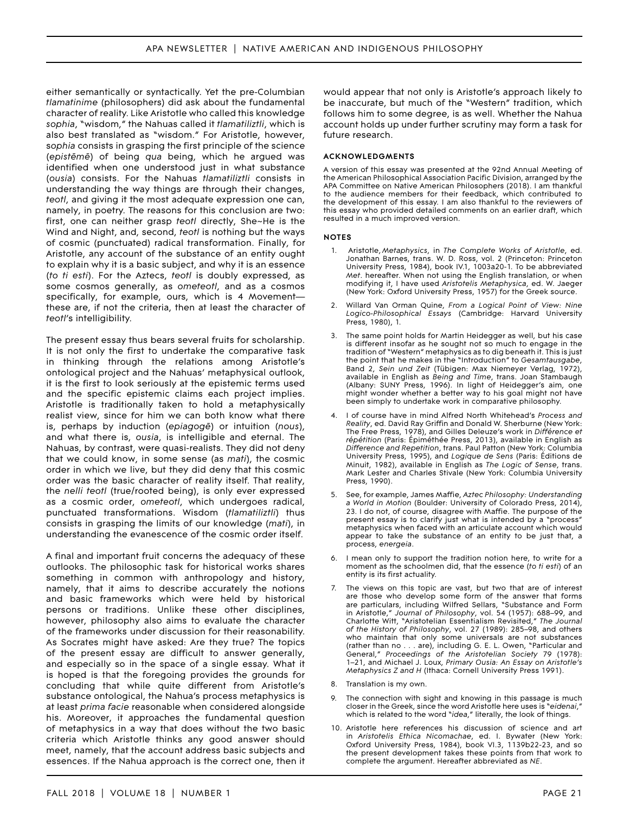either semantically or syntactically. Yet the pre-Columbian *tlamatinime* (philosophers) did ask about the fundamental character of reality. Like Aristotle who called this knowledge *sophia*, "wisdom," the Nahuas called it *tlamatiliztli*, which is also best translated as "wisdom." For Aristotle, however, s*ophia* consists in grasping the first principle of the science (*epistēmē*) of being *qua* being, which he argued was identified when one understood just in what substance (*ousia*) consists. For the Nahuas *tlamatiliztli* consists in understanding the way things are through their changes, *teotl*, and giving it the most adequate expression one can, namely, in poetry. The reasons for this conclusion are two: first, one can neither grasp *teotl* directly, She~He is the Wind and Night, and, second, *teotl* is nothing but the ways of cosmic (punctuated) radical transformation. Finally, for Aristotle, any account of the substance of an entity ought to explain why it is a basic subject, and why it is an essence (*to ti esti*). For the Aztecs, *teotl* is doubly expressed, as some cosmos generally, as *ometeotl*, and as a cosmos specifically, for example, ours, which is 4 Movement these are, if not the criteria, then at least the character of *teotl*'s intelligibility.

The present essay thus bears several fruits for scholarship. It is not only the first to undertake the comparative task in thinking through the relations among Aristotle's ontological project and the Nahuas' metaphysical outlook, it is the first to look seriously at the epistemic terms used and the specific epistemic claims each project implies. Aristotle is traditionally taken to hold a metaphysically realist view, since for him we can both know what there is, perhaps by induction (*epiagogē*) or intuition (*nous*), and what there is, *ousia*, is intelligible and eternal. The Nahuas, by contrast, were quasi-realists. They did not deny that we could know, in some sense (as *mati*), the cosmic order in which we live, but they did deny that this cosmic order was the basic character of reality itself. That reality, the *nelli teotl* (true/rooted being), is only ever expressed as a cosmic order, *ometeotl*, which undergoes radical, punctuated transformations. Wisdom (*tlamatiliztli*) thus consists in grasping the limits of our knowledge (*mati*), in understanding the evanescence of the cosmic order itself.

A final and important fruit concerns the adequacy of these outlooks. The philosophic task for historical works shares something in common with anthropology and history, namely, that it aims to describe accurately the notions and basic frameworks which were held by historical persons or traditions. Unlike these other disciplines, however, philosophy also aims to evaluate the character of the frameworks under discussion for their reasonability. As Socrates might have asked: Are they true? The topics of the present essay are difficult to answer generally, and especially so in the space of a single essay. What it is hoped is that the foregoing provides the grounds for concluding that while quite different from Aristotle's substance ontological, the Nahua's process metaphysics is at least *prima facie* reasonable when considered alongside his. Moreover, it approaches the fundamental question of metaphysics in a way that does without the two basic criteria which Aristotle thinks any good answer should meet, namely, that the account address basic subjects and essences. If the Nahua approach is the correct one, then it

would appear that not only is Aristotle's approach likely to be inaccurate, but much of the "Western" tradition, which follows him to some degree, is as well. Whether the Nahua account holds up under further scrutiny may form a task for future research.

#### **ACKNOWLEDGMENTS**

A version of this essay was presented at the 92nd Annual Meeting of the American Philosophical Association Pacific Division, arranged by the APA Committee on Native American Philosophers (2018). I am thankful to the audience members for their feedback, which contributed to the development of this essay. I am also thankful to the reviewers of this essay who provided detailed comments on an earlier draft, which resulted in a much improved version.

#### **NOTES**

- <span id="page-11-0"></span>1. Aristotle, *Metaphysics*, in *The Complete Works of Aristotle*, ed. Jonathan Barnes, trans. W. D. Ross, vol. 2 (Princeton: Princeton University Press, 1984), book IV.1, 1003a20-1. To be abbreviated *Met*. hereafter. When not using the English translation, or when modifying it, I have used *Aristotelis Metaphysica*, ed. W. Jaeger (New York: Oxford University Press, 1957) for the Greek source.
- <span id="page-11-1"></span>2. Willard Van Orman Quine, *From a Logical Point of View: Nine Logico-Philosophical Essays* (Cambridge: Harvard University Press, 1980), 1.
- <span id="page-11-5"></span>The same point holds for Martin Heidegger as well, but his case is different insofar as he sought not so much to engage in the tradition of "Western" metaphysics as to dig beneath it. This is just the point that he makes in the "Introduction" to *Gesamtausgabe*, Band 2, *Sein und Zeit* (Tübigen: Max Niemeyer Verlag, 1972), available in English as *Being and Time*, trans. Joan Stambaugh (Albany: SUNY Press, 1996). In light of Heidegger's aim, one might wonder whether a better way to his goal might not have been simply to undertake work in comparative philosophy.
- <span id="page-11-6"></span>4. I of course have in mind Alfred North Whitehead's *Process and Reality*, ed. David Ray Griffin and Donald W. Sherburne (New York: The Free Press, 1978), and Gilles Deleuze's work in *Différence et répétition* (Paris: Épiméthée Press, 2013), available in English as *Difference and Repetition*, trans. Paul Patton (New York: Columbia University Press, 1995), and *Logique de Sens* (Paris: Éditions de Minuit, 1982), available in English as *The Logic of Sense*, trans. Mark Lester and Charles Stivale (New York: Columbia University Press, 1990).
- <span id="page-11-7"></span>5. See, for example, James Maffie, *Aztec Philosophy: Understanding a World in Motion* (Boulder: University of Colorado Press, 2014), 23. I do not, of course, disagree with Maffie. The purpose of the present essay is to clarify just what is intended by a "process" metaphysics when faced with an articulate account which would appear to take the substance of an entity to be just that, a process, *energeia*.
- <span id="page-11-8"></span>6. I mean only to support the tradition notion here, to write for a moment as the schoolmen did, that the essence (*to ti esti*) of an entity is its first actuality.
- <span id="page-11-9"></span>7. The views on this topic are vast, but two that are of interest are those who develop some form of the answer that forms are particulars, including Wilfred Sellars, "Substance and Form in Aristotle," *Journal of Philosophy*, vol. 54 (1957): 688–99, and Charlotte Witt, "Aristotelian Essentialism Revisited," *The Journal of the History of Philosophy*, vol. 27 (1989): 285–98, and others who maintain that only some universals are not substances (rather than no . . . are), including G. E. L. Owen, "Particular and General," *Proceedings of the Aristotelian Society* 79 (1978): 1–21, and Michael J. Loux, *Primary Ousia: An Essay on Aristotle's Metaphysics Z and H* (Ithaca: Cornell University Press 1991).
- <span id="page-11-2"></span>8. Translation is my own.
- <span id="page-11-3"></span>The connection with sight and knowing in this passage is much closer in the Greek, since the word Aristotle here uses is "*eidenai*," which is related to the word "*idea*," literally, the look of things.
- <span id="page-11-4"></span>10. Aristotle here references his discussion of science and art in *Aristotelis Ethica Nicomachae*, ed. I. Bywater (New York: Oxford University Press, 1984), book VI.3, 1139b22-23, and so the present development takes these points from that work to complete the argument. Hereafter abbreviated as *NE*.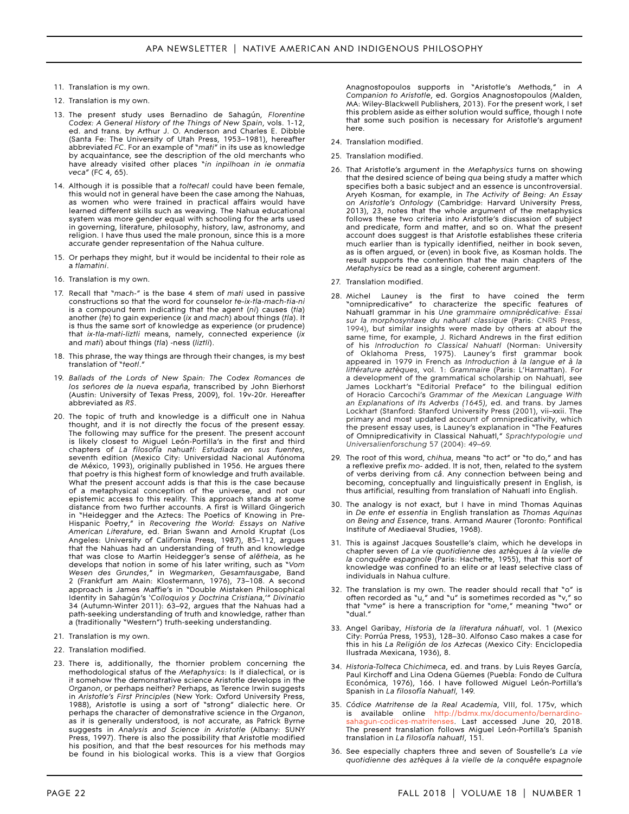- <span id="page-12-0"></span>11. Translation is my own.
- <span id="page-12-1"></span>12. Translation is my own.
- <span id="page-12-6"></span>13. The present study uses Bernadino de Sahagún, *Florentine Codex: A General History of the Things of New Spain*, vols. 1-12, ed. and trans. by Arthur J. O. Anderson and Charles E. Dibble (Santa Fe: The University of Utah Press, 1953–1981), hereafter abbreviated *FC*. For an example of "*mati*" in its use as knowledge by acquaintance, see the description of the old merchants who have already visited other places "*in inpilhoan in ie onmatia veca*" (FC 4, 65).
- <span id="page-12-2"></span>14. Although it is possible that a *toltecatl* could have been female, this would not in general have been the case among the Nahuas, as women who were trained in practical affairs would have learned different skills such as weaving. The Nahua educational system was more gender equal with schooling for the arts used in governing, literature, philosophy, history, law, astronomy, and religion. I have thus used the male pronoun, since this is a more accurate gender representation of the Nahua culture.
- <span id="page-12-3"></span>15. Or perhaps they might, but it would be incidental to their role as a *tlamatini*.
- <span id="page-12-4"></span>16. Translation is my own.
- <span id="page-12-5"></span>17. Recall that "*mach-*" is the base 4 stem of *mati* used in passive constructions so that the word for counselor *te-ix-tla-mach-tia-ni*  is a compound term indicating that the agent (*ni*) causes (*tia*) another (*te*) to gain experience (*ix* and *mach*) about things (*tla*). It is thus the same sort of knowledge as experience (or prudence) that *ix-tla-mati-liztli* means, namely, connected experience (*ix*  and *mati*) about things (*tla*) -ness (*liztli*).
- <span id="page-12-8"></span>18. This phrase, the way things are through their changes, is my best translation of "*teotl*."
- <span id="page-12-9"></span>19. *Ballads of the Lords of New Spain: The Codex Romances de los señores de la nueva españa*, transcribed by John Bierhorst (Austin: University of Texas Press, 2009), fol. 19v-20r. Hereafter abbreviated as *RS*.
- <span id="page-12-7"></span>20. The topic of truth and knowledge is a difficult one in Nahua thought, and it is not directly the focus of the present essay. The following may suffice for the present. The present account is likely closest to Miguel León-Portilla's in the first and third chapters of *La filosofía nahuatl: Estudiada en sus fuentes*, seventh edition (Mexico City: Universidad Nacional Autónoma de México, 1993), originally published in 1956. He argues there that poetry is this highest form of knowledge and truth available. What the present account adds is that this is the case because of a metaphysical conception of the universe, and not our epistemic access to this reality. This approach stands at some distance from two further accounts. A first is Willard Gingerich in "Heidegger and the Aztecs: The Poetics of Knowing in Pre-Hispanic Poetry," in *Recovering the World: Essays on Native American Literature*, ed. Brian Swann and Arnold Kruptat (Los Angeles: University of California Press, 1987), 85–112, argues that the Nahuas had an understanding of truth and knowledge that was close to Martin Heidegger's sense of *alētheia*, as he develops that notion in some of his later writing, such as "*Vom Wesen des Grundes*," in *Wegmarken*, *Gesamtausgabe*, Band 2 (Frankfurt am Main: Klostermann, 1976), 73–108. A second approach is James Maffie's in "Double Mistaken Philosophical Identity in Sahagún's '*Colloquios y Doctrina Cristiana*,'" *Divinatio*  34 (Autumn-Winter 2011): 63–92, argues that the Nahuas had a path-seeking understanding of truth and knowledge, rather than a (traditionally "Western") truth-seeking understanding.
- <span id="page-12-13"></span>21. Translation is my own.
- <span id="page-12-14"></span>22. Translation modified.
- <span id="page-12-15"></span>23. There is, additionally, the thornier problem concerning the methodological status of the *Metaphysics*: Is it dialectical, or is it somehow the demonstrative science Aristotle develops in the *Organon*, or perhaps neither? Perhaps, as Terence Irwin suggests in *Aristotle's First Principles* (New York: Oxford University Press, 1988), Aristotle is using a sort of "strong" dialectic here. Or perhaps the character of demonstrative science in the *Organon*, as it is generally understood, is not accurate, as Patrick Byrne suggests in *Analysis and Science in Aristotle* (Albany: SUNY Press, 1997). There is also the possibility that Aristotle modified his position, and that the best resources for his methods may be found in his biological works. This is a view that Gorgios

Anagnostopoulos supports in "Aristotle's Methods," in *A Companion to Aristotle*, ed. Gorgios Anagnostopoulos (Malden, MA: Wiley-Blackwell Publishers, 2013). For the present work, I set this problem aside as either solution would suffice, though I note that some such position is necessary for Aristotle's argument here.

- <span id="page-12-10"></span>24. Translation modified.
- <span id="page-12-11"></span>25. Translation modified.
- <span id="page-12-12"></span>26. That Aristotle's argument in the *Metaphysics* turns on showing that the desired science of being *qua* being study a matter which specifies both a basic subject and an essence is uncontroversial. Aryeh Kosman, for example, in *The Activity of Being: An Essay on Aristotle's Ontology* (Cambridge: Harvard University Press, 2013), 23, notes that the whole argument of the metaphysics follows these two criteria into Aristotle's discussion of subject and predicate, form and matter, and so on. What the present account does suggest is that Aristotle establishes these criteria much earlier than is typically identified, neither in book seven, as is often argued, or (even) in book five, as Kosman holds. The result supports the contention that the main chapters of the *Metaphysics* be read as a single, coherent argument.
- <span id="page-12-18"></span>27. Translation modified.
- <span id="page-12-16"></span>28. Michel Launey is the first to have coined the term "omnipredicative" to characterize the specific features of Nahuatl grammar in his *Une grammaire omniprédicative: Essai sur la morphosyntaxe du nahuatl classique* (Paris: CNRS Press, 1994), but similar insights were made by others at about the same time, for example, J. Richard Andrews in the first edition of his *Introduction to Classical Nahuatl* (Norman: University of Oklahoma Press, 1975). Launey's first grammar book appeared in 1979 in French as *Introduction à la langue et à la littérature aztèques*, vol. 1: *Grammaire* (Paris: L'Harmattan). For a development of the grammatical scholarship on Nahuatl, see James Lockhart's "Editorial Preface" to the bilingual edition of Horacio Carcochi's *Grammar of the Mexican Language With an Explanations of Its Adverbs (1645)*, ed. and trans. by James Lockhart (Stanford: Stanford University Press (2001), vii–xxii. The primary and most updated account of omnipredicativity, which the present essay uses, is Launey's explanation in "The Features of Omnipredicativity in Classical Nahuatl," *Sprachtypologie und Universalienforschung* 57 (2004): 49–69.
- <span id="page-12-17"></span>29. The root of this word, *chihua*, means "to act" or "to do," and has a reflexive prefix *mo*- added. It is not, then, related to the system of verbs deriving from *câ*. Any connection between being and becoming, conceptually and linguistically present in English, is thus artificial, resulting from translation of Nahuatl into English.
- <span id="page-12-22"></span>30. The analogy is not exact, but I have in mind Thomas Aquinas in *De ente et essentia* in English translation as *Thomas Aquinas on Being and Essence*, trans. Armand Maurer (Toronto: Pontifical Institute of Mediaeval Studies, 1968).
- <span id="page-12-23"></span>31. This is against Jacques Soustelle's claim, which he develops in chapter seven of *La vie quotidienne des aztèques à la vielle de la conquête espagnole* (Paris: Hachette, 1955), that this sort of knowledge was confined to an elite or at least selective class of individuals in Nahua culture.
- <span id="page-12-24"></span>32. The translation is my own. The reader should recall that "o" is often recorded as "u," and "u" is sometimes recorded as "v," so that "*vme*" is here a transcription for "*ome*," meaning "two" or "dual."
- <span id="page-12-19"></span>33. Angel Garibay, *Historia de la literatura náhuatl*, vol. 1 (Mexico City: Porrúa Press, 1953), 128–30. Alfonso Caso makes a case for this in his *La Religión de los Aztecas* (Mexico City: Enciclopedia Ilustrada Mexicana, 1936), 8.
- <span id="page-12-20"></span>34. Historia-Tolteca Chichimeca, ed. and trans. by Luis Reyes García, Paul Kirchoff and Lina Odena Güemes (Puebla: Fondo de Cultura Económica, 1976), 166. I have followed Miguel León-Portilla's Spanish in *La filosofía Nahuatl,* 149.
- <span id="page-12-21"></span>35. *Códice Matritense de la Real Academia*, VIII, fol. 175v, which is available online [http://bdmx.mx/documento/bernardino](http://bdmx.mx/documento/bernardino-sahagun-codices-matritenses)[sahagun-codices-matritenses](http://bdmx.mx/documento/bernardino-sahagun-codices-matritenses). Last accessed June 20, 2018. The present translation follows Miguel León-Portilla's Spanish translation in *La filosofía nahuatl*, 151.
- <span id="page-12-25"></span>36. See especially chapters three and seven of Soustelle's La vie *quotidienne des aztèques à la vielle de la conquête espagnole*